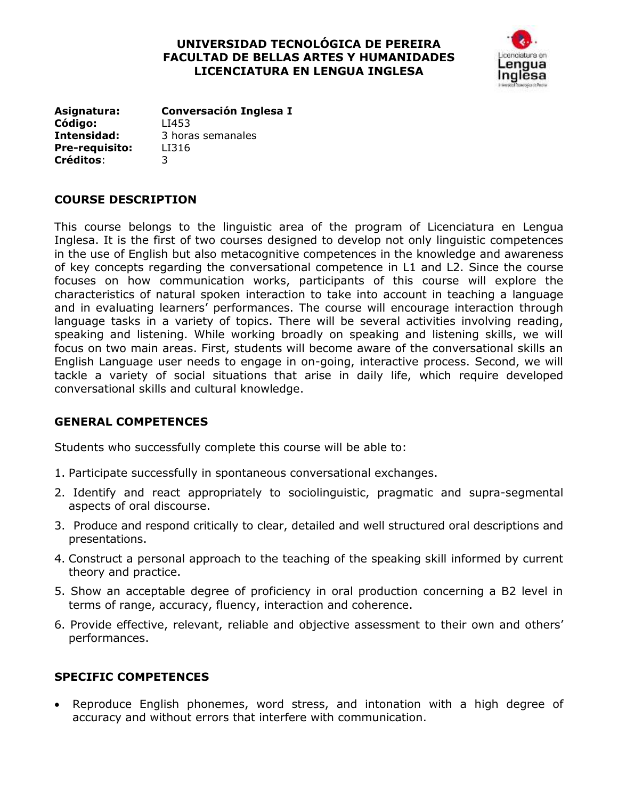## **UNIVERSIDAD TECNOLÓGICA DE PEREIRA FACULTAD DE BELLAS ARTES Y HUMANIDADES LICENCIATURA EN LENGUA INGLESA**



**Asignatura: Conversación Inglesa I Código:** LI453 **Intensidad:** 3 horas semanales **Pre-requisito:** LI316 **Créditos**: 3

## **COURSE DESCRIPTION**

This course belongs to the linguistic area of the program of Licenciatura en Lengua Inglesa. It is the first of two courses designed to develop not only linguistic competences in the use of English but also metacognitive competences in the knowledge and awareness of key concepts regarding the conversational competence in L1 and L2. Since the course focuses on how communication works, participants of this course will explore the characteristics of natural spoken interaction to take into account in teaching a language and in evaluating learners' performances. The course will encourage interaction through language tasks in a variety of topics. There will be several activities involving reading, speaking and listening. While working broadly on speaking and listening skills, we will focus on two main areas. First, students will become aware of the conversational skills an English Language user needs to engage in on-going, interactive process. Second, we will tackle a variety of social situations that arise in daily life, which require developed conversational skills and cultural knowledge.

## **GENERAL COMPETENCES**

Students who successfully complete this course will be able to:

- 1. Participate successfully in spontaneous conversational exchanges.
- 2. Identify and react appropriately to sociolinguistic, pragmatic and supra-segmental aspects of oral discourse.
- 3. Produce and respond critically to clear, detailed and well structured oral descriptions and presentations.
- 4. Construct a personal approach to the teaching of the speaking skill informed by current theory and practice.
- 5. Show an acceptable degree of proficiency in oral production concerning a B2 level in terms of range, accuracy, fluency, interaction and coherence.
- 6. Provide effective, relevant, reliable and objective assessment to their own and others' performances.

# **SPECIFIC COMPETENCES**

 Reproduce English phonemes, word stress, and intonation with a high degree of accuracy and without errors that interfere with communication.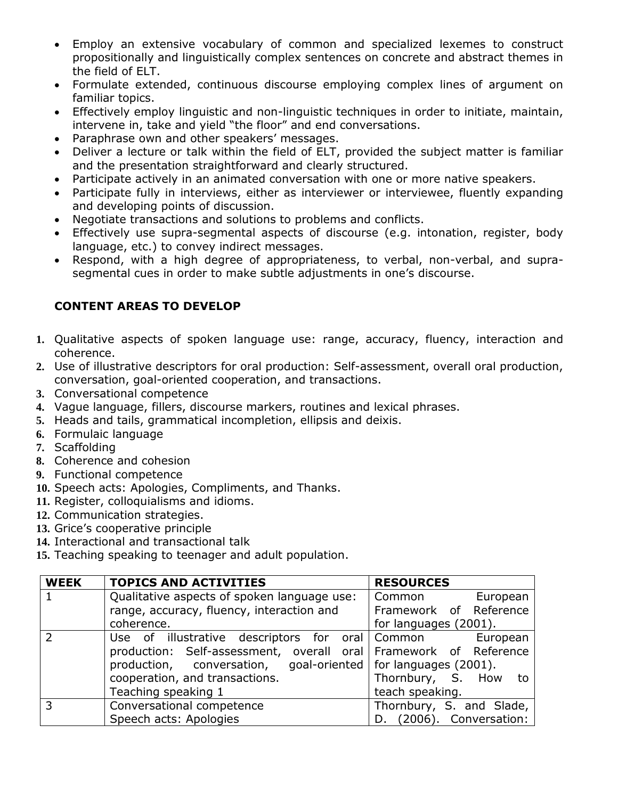- Employ an extensive vocabulary of common and specialized lexemes to construct propositionally and linguistically complex sentences on concrete and abstract themes in the field of ELT.
- Formulate extended, continuous discourse employing complex lines of argument on familiar topics.
- Effectively employ linguistic and non-linguistic techniques in order to initiate, maintain, intervene in, take and yield "the floor" and end conversations.
- Paraphrase own and other speakers' messages.
- Deliver a lecture or talk within the field of ELT, provided the subject matter is familiar and the presentation straightforward and clearly structured.
- Participate actively in an animated conversation with one or more native speakers.
- Participate fully in interviews, either as interviewer or interviewee, fluently expanding and developing points of discussion.
- Negotiate transactions and solutions to problems and conflicts.
- Effectively use supra-segmental aspects of discourse (e.g. intonation, register, body language, etc.) to convey indirect messages.
- Respond, with a high degree of appropriateness, to verbal, non-verbal, and suprasegmental cues in order to make subtle adjustments in one's discourse.

# **CONTENT AREAS TO DEVELOP**

- **1.** Qualitative aspects of spoken language use: range, accuracy, fluency, interaction and coherence.
- **2.** Use of illustrative descriptors for oral production: Self-assessment, overall oral production, conversation, goal-oriented cooperation, and transactions.
- **3.** Conversational competence
- **4.** Vague language, fillers, discourse markers, routines and lexical phrases.
- **5.** Heads and tails, grammatical incompletion, ellipsis and deixis.
- **6.** Formulaic language
- **7.** Scaffolding
- **8.** Coherence and cohesion
- **9.** Functional competence
- **10.** Speech acts: Apologies, Compliments, and Thanks.
- **11.** Register, colloquialisms and idioms.
- **12.** Communication strategies.
- **13.** Grice's cooperative principle
- **14.** Interactional and transactional talk
- **15.** Teaching speaking to teenager and adult population.

| <b>WEEK</b>   | <b>TOPICS AND ACTIVITIES</b>                                          | <b>RESOURCES</b>            |
|---------------|-----------------------------------------------------------------------|-----------------------------|
|               | Qualitative aspects of spoken language use:                           | Common<br>European          |
|               | range, accuracy, fluency, interaction and                             | Framework of Reference      |
|               | coherence.                                                            | for languages (2001).       |
| $\mathcal{P}$ | Use of illustrative descriptors for oral Common                       | European                    |
|               | production: Self-assessment, overall oral Framework of Reference      |                             |
|               | production, conversation, goal-oriented $\vert$ for languages (2001). |                             |
|               | cooperation, and transactions.                                        | Thornbury, S. How to        |
|               | Teaching speaking 1                                                   | teach speaking.             |
| 3             | Conversational competence                                             | Thornbury, S. and Slade,    |
|               | Speech acts: Apologies                                                | (2006). Conversation:<br>D. |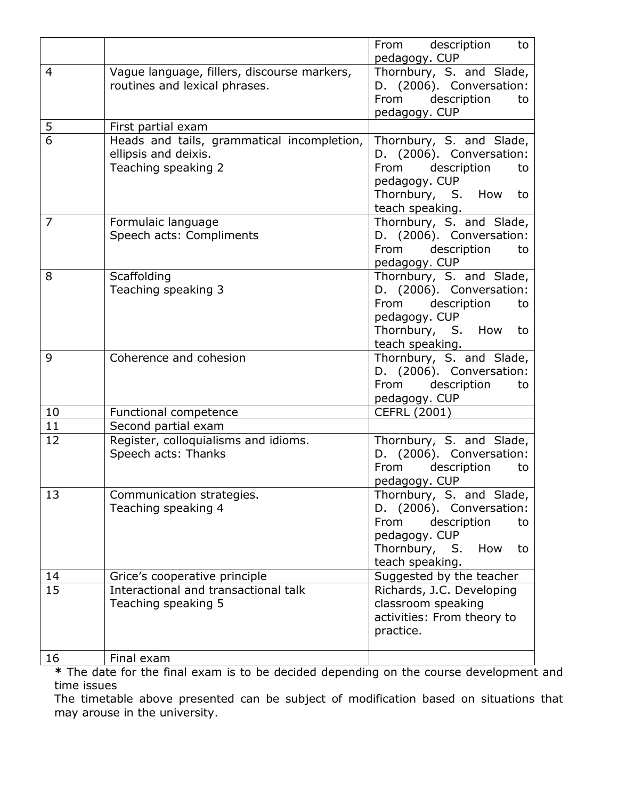|                |                                             | From description<br>to<br>pedagogy. CUP |
|----------------|---------------------------------------------|-----------------------------------------|
| $\overline{4}$ |                                             |                                         |
|                | Vague language, fillers, discourse markers, | Thornbury, S. and Slade,                |
|                | routines and lexical phrases.               | D. (2006). Conversation:                |
|                |                                             | description<br>From<br>to               |
|                |                                             | pedagogy. CUP                           |
| 5              | First partial exam                          |                                         |
| $\overline{6}$ | Heads and tails, grammatical incompletion,  | Thornbury, S. and Slade,                |
|                | ellipsis and deixis.                        | D. (2006). Conversation:                |
|                | Teaching speaking 2                         | From description<br>to                  |
|                |                                             | pedagogy. CUP                           |
|                |                                             | Thornbury, S. How<br>to                 |
|                |                                             | teach speaking.                         |
| $\overline{7}$ | Formulaic language                          | Thornbury, S. and Slade,                |
|                | Speech acts: Compliments                    | D. (2006). Conversation:                |
|                |                                             | From<br>description<br>to               |
|                |                                             | pedagogy. CUP                           |
| 8              | Scaffolding                                 | Thornbury, S. and Slade,                |
|                | Teaching speaking 3                         | D. (2006). Conversation:                |
|                |                                             | description<br>From<br>to               |
|                |                                             | pedagogy. CUP                           |
|                |                                             | Thornbury, S. How<br>to                 |
|                |                                             | teach speaking.                         |
| 9              | Coherence and cohesion                      | Thornbury, S. and Slade,                |
|                |                                             | D. (2006). Conversation:                |
|                |                                             | From description<br>to                  |
|                |                                             | pedagogy. CUP                           |
| 10             | Functional competence                       | <b>CEFRL (2001)</b>                     |
| 11             | Second partial exam                         |                                         |
| 12             | Register, colloquialisms and idioms.        | Thornbury, S. and Slade,                |
|                | Speech acts: Thanks                         | D. (2006). Conversation:                |
|                |                                             | From<br>description<br>to               |
|                |                                             | pedagogy. CUP                           |
| 13             | Communication strategies.                   | Thornbury, S. and Slade,                |
|                | Teaching speaking 4                         | D. (2006). Conversation:                |
|                |                                             | From<br>description<br>to               |
|                |                                             | pedagogy. CUP                           |
|                |                                             | Thornbury, S.<br>How<br>to              |
|                |                                             | teach speaking.                         |
| 14             | Grice's cooperative principle               | Suggested by the teacher                |
| 15             | Interactional and transactional talk        | Richards, J.C. Developing               |
|                | Teaching speaking 5                         | classroom speaking                      |
|                |                                             | activities: From theory to              |
|                |                                             | practice.                               |
|                |                                             |                                         |
| 16             | Final exam                                  |                                         |

**\*** The date for the final exam is to be decided depending on the course development and time issues

The timetable above presented can be subject of modification based on situations that may arouse in the university.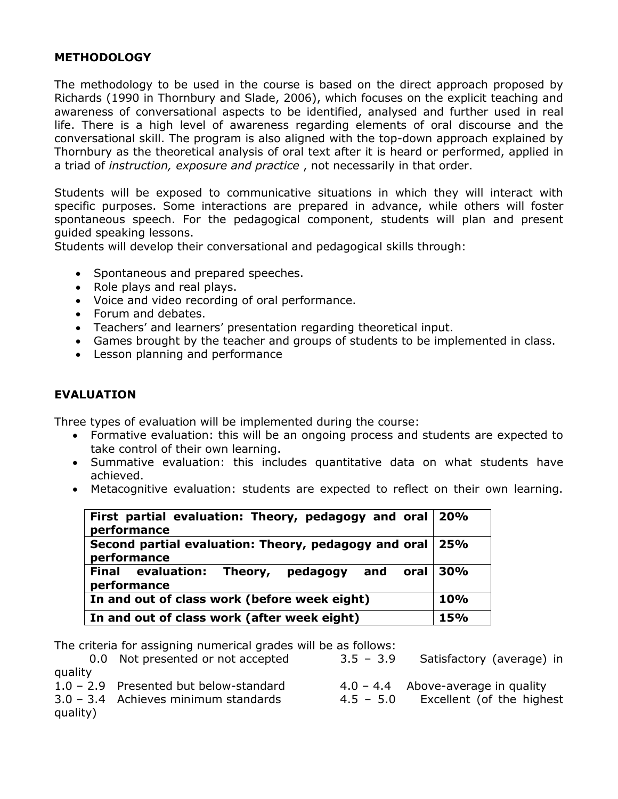## **METHODOLOGY**

The methodology to be used in the course is based on the direct approach proposed by Richards (1990 in Thornbury and Slade, 2006), which focuses on the explicit teaching and awareness of conversational aspects to be identified, analysed and further used in real life. There is a high level of awareness regarding elements of oral discourse and the conversational skill. The program is also aligned with the top-down approach explained by Thornbury as the theoretical analysis of oral text after it is heard or performed, applied in a triad of *instruction, exposure and practice* , not necessarily in that order.

Students will be exposed to communicative situations in which they will interact with specific purposes. Some interactions are prepared in advance, while others will foster spontaneous speech. For the pedagogical component, students will plan and present guided speaking lessons.

Students will develop their conversational and pedagogical skills through:

- Spontaneous and prepared speeches.
- Role plays and real plays.
- Voice and video recording of oral performance.
- Forum and debates.
- Teachers' and learners' presentation regarding theoretical input.
- Games brought by the teacher and groups of students to be implemented in class.
- Lesson planning and performance

#### **EVALUATION**

Three types of evaluation will be implemented during the course:

- Formative evaluation: this will be an ongoing process and students are expected to take control of their own learning.
- Summative evaluation: this includes quantitative data on what students have achieved.
- Metacognitive evaluation: students are expected to reflect on their own learning.

| First partial evaluation: Theory, pedagogy and oral 20%<br>performance    |  |  |  |  |  |  |
|---------------------------------------------------------------------------|--|--|--|--|--|--|
| Second partial evaluation: Theory, pedagogy and oral   25%<br>performance |  |  |  |  |  |  |
| Final evaluation: Theory, pedagogy and oral 30%<br>performance            |  |  |  |  |  |  |
| In and out of class work (before week eight)                              |  |  |  |  |  |  |
| In and out of class work (after week eight)                               |  |  |  |  |  |  |

The criteria for assigning numerical grades will be as follows:

|          | 0.0 Not presented or not accepted        | $3.5 - 3.9$ | Satisfactory (average) in            |
|----------|------------------------------------------|-------------|--------------------------------------|
| quality  |                                          |             |                                      |
|          | $1.0 - 2.9$ Presented but below-standard |             | $4.0 - 4.4$ Above-average in quality |
|          | $3.0 - 3.4$ Achieves minimum standards   | $4.5 - 5.0$ | Excellent (of the highest            |
| quality) |                                          |             |                                      |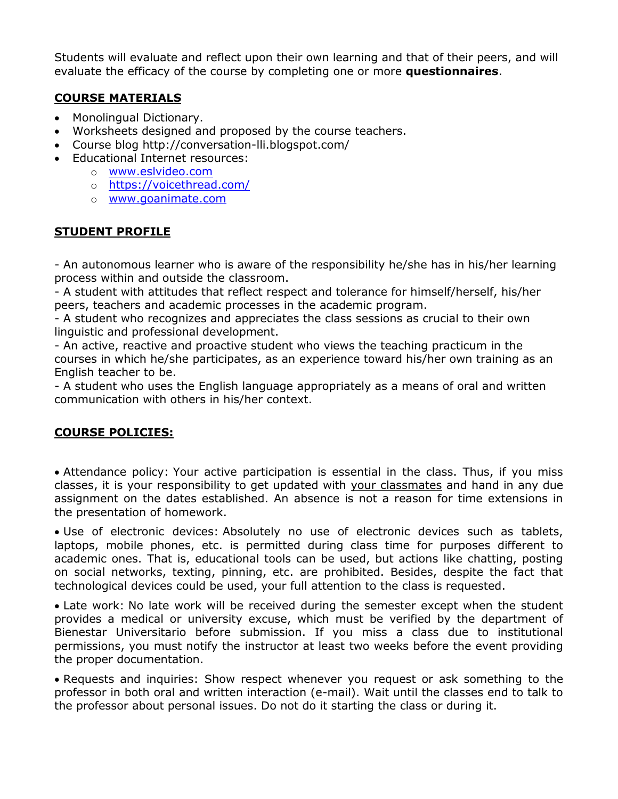Students will evaluate and reflect upon their own learning and that of their peers, and will evaluate the efficacy of the course by completing one or more **questionnaires**.

# **COURSE MATERIALS**

- Monolingual Dictionary.
- Worksheets designed and proposed by the course teachers.
- Course blog http://conversation-lli.blogspot.com/
- Educational Internet resources:
	- o [www.eslvideo.com](http://www.eslvideo.com/)
	- o <https://voicethread.com/>
	- o [www.goanimate.com](http://www.goanimate.com/)

## **STUDENT PROFILE**

- An autonomous learner who is aware of the responsibility he/she has in his/her learning process within and outside the classroom.

- A student with attitudes that reflect respect and tolerance for himself/herself, his/her peers, teachers and academic processes in the academic program.

- A student who recognizes and appreciates the class sessions as crucial to their own linguistic and professional development.

- An active, reactive and proactive student who views the teaching practicum in the courses in which he/she participates, as an experience toward his/her own training as an English teacher to be.

- A student who uses the English language appropriately as a means of oral and written communication with others in his/her context.

## **COURSE POLICIES:**

 Attendance policy: Your active participation is essential in the class. Thus, if you miss classes, it is your responsibility to get updated with your classmates and hand in any due assignment on the dates established. An absence is not a reason for time extensions in the presentation of homework.

 Use of electronic devices: Absolutely no use of electronic devices such as tablets, laptops, mobile phones, etc. is permitted during class time for purposes different to academic ones. That is, educational tools can be used, but actions like chatting, posting on social networks, texting, pinning, etc. are prohibited. Besides, despite the fact that technological devices could be used, your full attention to the class is requested.

 Late work: No late work will be received during the semester except when the student provides a medical or university excuse, which must be verified by the department of Bienestar Universitario before submission. If you miss a class due to institutional permissions, you must notify the instructor at least two weeks before the event providing the proper documentation.

 Requests and inquiries: Show respect whenever you request or ask something to the professor in both oral and written interaction (e-mail). Wait until the classes end to talk to the professor about personal issues. Do not do it starting the class or during it.